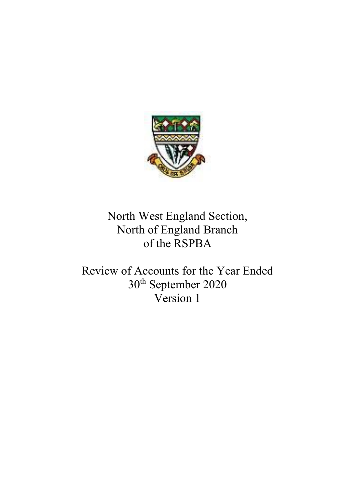

North West England Section, North of England Branch of the RSPBA

Review of Accounts for the Year Ended 30th September 2020 Version 1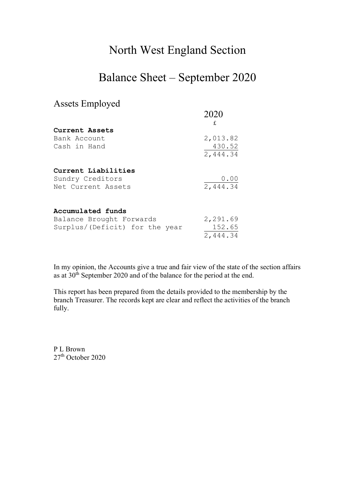## North West England Section

## Balance Sheet – September 2020

## Assets Employed

|                                | 2020<br>£ |
|--------------------------------|-----------|
| Current Assets                 |           |
| Bank Account                   | 2,013.82  |
| Cash in Hand                   | 430.52    |
|                                | 2,444.34  |
| Current Liabilities            |           |
| Sundry Creditors               | 0.00      |
| Net Current Assets             | 2,444.34  |
| Accumulated funds              |           |
| Balance Brought Forwards       | 2,291.69  |
| Surplus/(Deficit) for the year | 152.65    |
|                                | 2,444.34  |

In my opinion, the Accounts give a true and fair view of the state of the section affairs as at 30<sup>th</sup> September 2020 and of the balance for the period at the end.

This report has been prepared from the details provided to the membership by the branch Treasurer. The records kept are clear and reflect the activities of the branch fully.

P L Brown  $27<sup>th</sup>$  October 2020